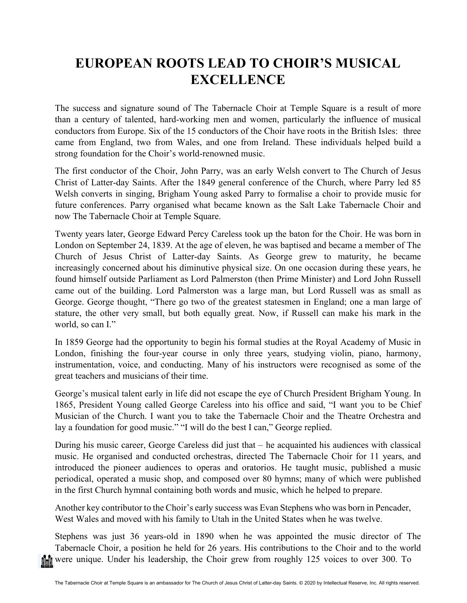## **EUROPEAN ROOTS LEAD TO CHOIR'S MUSICAL EXCELLENCE**

The success and signature sound of The Tabernacle Choir at Temple Square is a result of more than a century of talented, hard-working men and women, particularly the influence of musical conductors from Europe. Six of the 15 conductors of the Choir have roots in the British Isles: three came from England, two from Wales, and one from Ireland. These individuals helped build a strong foundation for the Choir's world-renowned music.

The first conductor of the Choir, John Parry, was an early Welsh convert to The Church of Jesus Christ of Latter-day Saints. After the 1849 general conference of the Church, where Parry led 85 Welsh converts in singing, Brigham Young asked Parry to formalise a choir to provide music for future conferences. Parry organised what became known as the Salt Lake Tabernacle Choir and now The Tabernacle Choir at Temple Square.

Twenty years later, George Edward Percy Careless took up the baton for the Choir. He was born in London on September 24, 1839. At the age of eleven, he was baptised and became a member of The Church of Jesus Christ of Latter-day Saints. As George grew to maturity, he became increasingly concerned about his diminutive physical size. On one occasion during these years, he found himself outside Parliament as Lord Palmerston (then Prime Minister) and Lord John Russell came out of the building. Lord Palmerston was a large man, but Lord Russell was as small as George. George thought, "There go two of the greatest statesmen in England; one a man large of stature, the other very small, but both equally great. Now, if Russell can make his mark in the world, so can I."

In 1859 George had the opportunity to begin his formal studies at the Royal Academy of Music in London, finishing the four-year course in only three years, studying violin, piano, harmony, instrumentation, voice, and conducting. Many of his instructors were recognised as some of the great teachers and musicians of their time.

George's musical talent early in life did not escape the eye of Church President Brigham Young. In 1865, President Young called George Careless into his office and said, "I want you to be Chief Musician of the Church. I want you to take the Tabernacle Choir and the Theatre Orchestra and lay a foundation for good music." "I will do the best I can," George replied.

During his music career, George Careless did just that – he acquainted his audiences with classical music. He organised and conducted orchestras, directed The Tabernacle Choir for 11 years, and introduced the pioneer audiences to operas and oratorios. He taught music, published a music periodical, operated a music shop, and composed over 80 hymns; many of which were published in the first Church hymnal containing both words and music, which he helped to prepare.

Another key contributor to the Choir's early success was Evan Stephens who was born in [Pencader,](https://en.wikipedia.org/wiki/Pencader,_Carmarthenshire) West Wales and moved with his family to Utah in the United States when he was twelve.

Stephens was just 36 years-old in 1890 when he was appointed the music director of The Tabernacle Choir, a position he held for 26 years. His contributions to the Choir and to the world were unique. Under his leadership, the Choir grew from roughly 125 voices to over 300. To ni ili